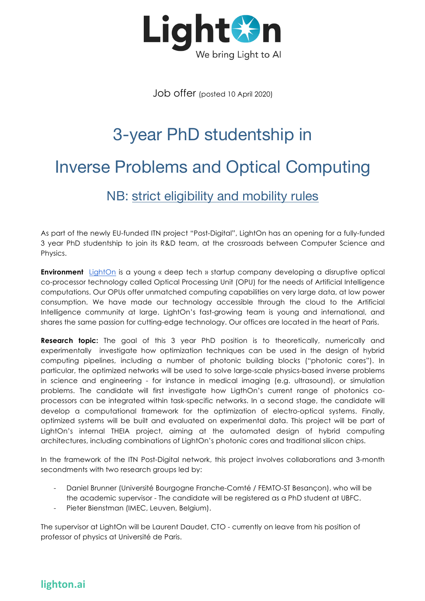

Job offer (posted 10 April 2020)

# 3-year PhD studentship in Inverse Problems and Optical Computing

NB: strict eligibility and mobility rules

As part of the newly EU-funded ITN project "Post-Digital", LightOn has an opening for a fully-funded 3 year PhD studentship to join its R&D team, at the crossroads between Computer Science and Physics.

**Environment** LightOn is a young « deep tech » startup company developing a disruptive optical co-processor technology called Optical Processing Unit (OPU) for the needs of Artificial Intelligence computations. Our OPUs offer unmatched computing capabilities on very large data, at low power consumption. We have made our technology accessible through the cloud to the Artificial Intelligence community at large. LightOn's fast-growing team is young and international, and shares the same passion for cutting-edge technology. Our offices are located in the heart of Paris.

**Research topic:** The goal of this 3 year PhD position is to theoretically, numerically and experimentally investigate how optimization techniques can be used in the design of hybrid computing pipelines, including a number of photonic building blocks ("photonic cores"). In particular, the optimized networks will be used to solve large-scale physics-based inverse problems in science and engineering - for instance in medical imaging (e.g. ultrasound), or simulation problems. The candidate will first investigate how LigthOn's current range of photonics coprocessors can be integrated within task-specific networks. In a second stage, the candidate will develop a computational framework for the optimization of electro-optical systems. Finally, optimized systems will be built and evaluated on experimental data. This project will be part of LightOn's internal THEIA project, aiming at the automated design of hybrid computing architectures, including combinations of LightOn's photonic cores and traditional silicon chips.

In the framework of the ITN Post-Digital network, this project involves collaborations and 3-month secondments with two research groups led by:

- Daniel Brunner (Université Bourgogne Franche-Comté / FEMTO-ST Besançon), who will be the academic supervisor - The candidate will be registered as a PhD student at UBFC.
- Pieter Bienstman (IMEC, Leuven, Belgium).

The supervisor at LightOn will be Laurent Daudet, CTO - currently on leave from his position of professor of physics at Université de Paris.

## **lighton.ai**